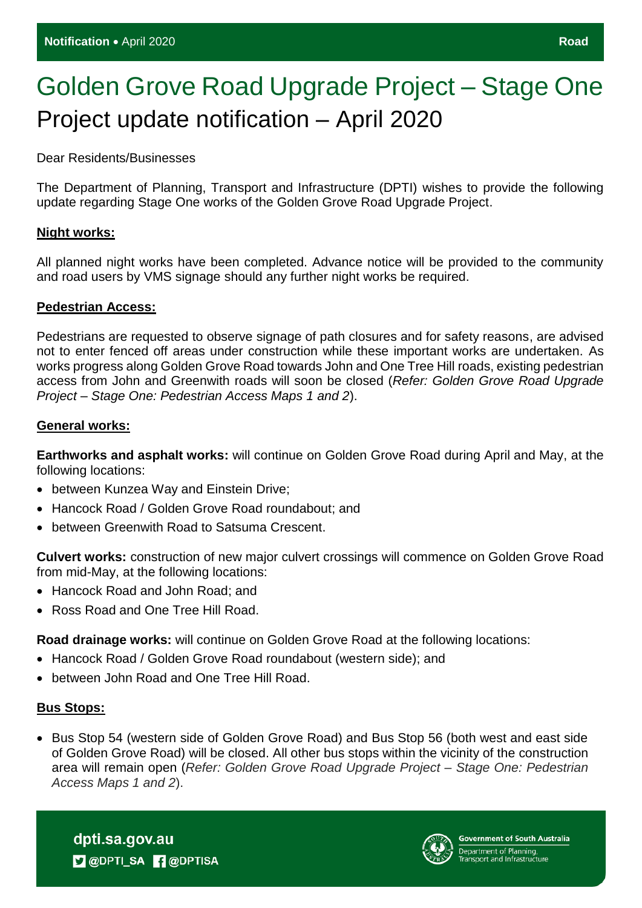# Golden Grove Road Upgrade Project – Stage One Project update notification – April 2020

Dear Residents/Businesses

The Department of Planning, Transport and Infrastructure (DPTI) wishes to provide the following update regarding Stage One works of the Golden Grove Road Upgrade Project.

#### **Night works:**

All planned night works have been completed. Advance notice will be provided to the community and road users by VMS signage should any further night works be required.

#### **Pedestrian Access:**

Pedestrians are requested to observe signage of path closures and for safety reasons, are advised not to enter fenced off areas under construction while these important works are undertaken. As works progress along Golden Grove Road towards John and One Tree Hill roads, existing pedestrian access from John and Greenwith roads will soon be closed (*Refer: Golden Grove Road Upgrade Project – Stage One: Pedestrian Access Maps 1 and 2*).

## **General works:**

**Earthworks and asphalt works:** will continue on Golden Grove Road during April and May, at the following locations:

- between Kunzea Way and Einstein Drive;
- Hancock Road / Golden Grove Road roundabout: and
- between Greenwith Road to Satsuma Crescent.

**Culvert works:** construction of new major culvert crossings will commence on Golden Grove Road from mid-May, at the following locations:

- Hancock Road and John Road: and
- Ross Road and One Tree Hill Road.

**Road drainage works:** will continue on Golden Grove Road at the following locations:

- Hancock Road / Golden Grove Road roundabout (western side): and
- between John Road and One Tree Hill Road.

#### **Bus Stops:**

• Bus Stop 54 (western side of Golden Grove Road) and Bus Stop 56 (both west and east side of Golden Grove Road) will be closed. All other bus stops within the vicinity of the construction area will remain open (*Refer: Golden Grove Road Upgrade Project – Stage One: Pedestrian Access Maps 1 and 2*).

dpti.sa.gov.au **D** @DPTI\_SA **R** @DPTISA

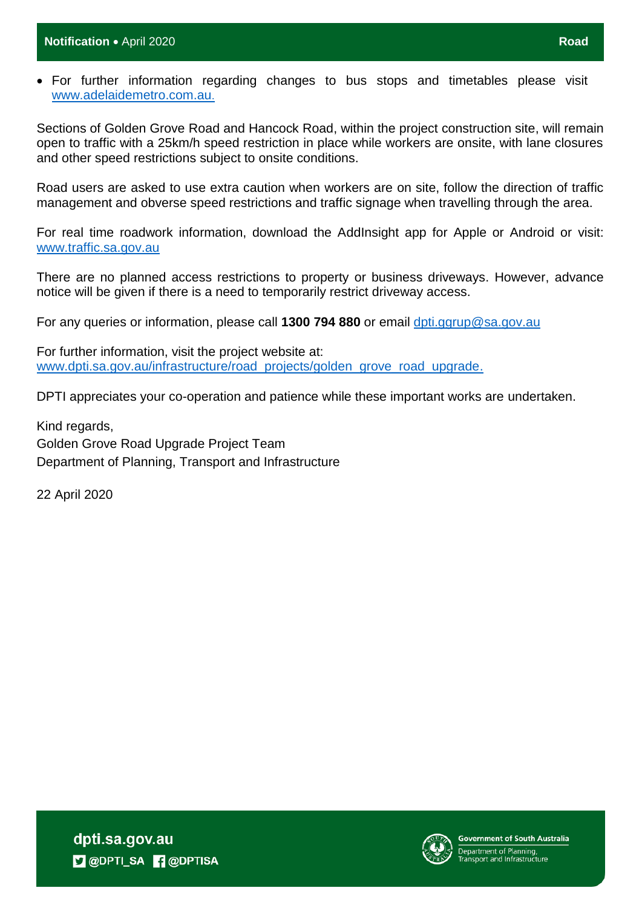For further information regarding changes to bus stops and timetables please visit [www.adelaidemetro.com.au](http://www.adelaidemetro.com.au/).

Sections of Golden Grove Road and Hancock Road, within the project construction site, will remain open to traffic with a 25km/h speed restriction in place while workers are onsite, with lane closures and other speed restrictions subject to onsite conditions.

Road users are asked to use extra caution when workers are on site, follow the direction of traffic management and obverse speed restrictions and traffic signage when travelling through the area.

For real time roadwork information, download the AddInsight app for Apple or Android or visit: [www.traffic.sa.gov.au](http://www.traffic.sa.gov.au/)

There are no planned access restrictions to property or business driveways. However, advance notice will be given if there is a need to temporarily restrict driveway access.

For any queries or information, please call **1300 794 880** or email [dpti.ggrup@sa.gov.au](mailto:dpti.ggrup@sa.gov.au)

For further information, visit the project website at: [www.dpti.sa.gov.au/infrastructure/road\\_projects/golden\\_grove\\_road\\_upgrade.](https://protect-au.mimecast.com/s/766gCnxyyQcA3vBIv9sDk?domain=dpti.sa.gov.au)

DPTI appreciates your co-operation and patience while these important works are undertaken.

Kind regards, Golden Grove Road Upgrade Project Team Department of Planning, Transport and Infrastructure

22 April 2020

dpti.sa.gov.au **D** @DPTI\_SA **R** @DPTISA



Government of South Australia epartment of Planning,<br>Fransport and Infrastructure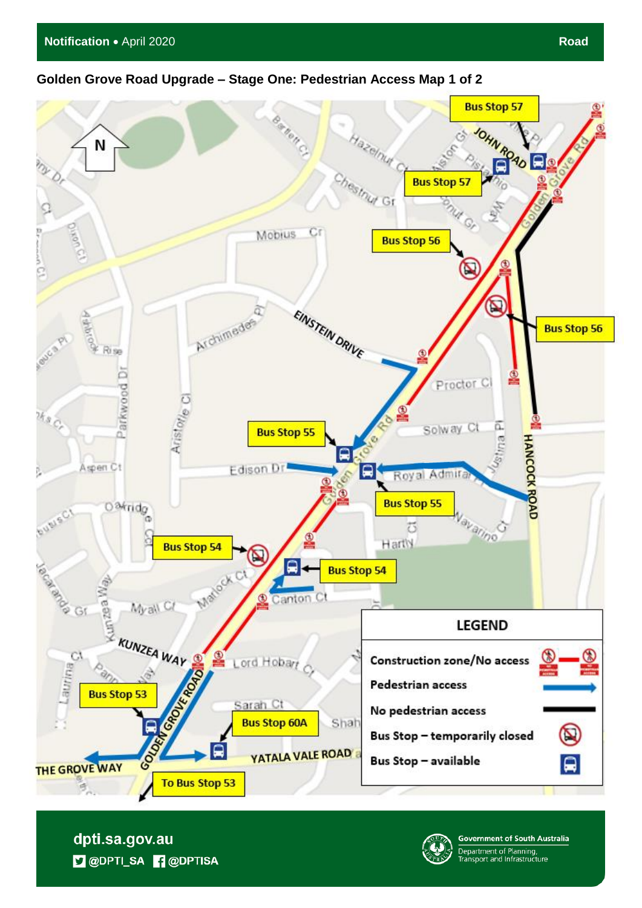## **Golden Grove Road Upgrade – Stage One: Pedestrian Access Map 1 of 2**



dpti.sa.gov.au **D** @DPTI\_SA **R** @DPTISA